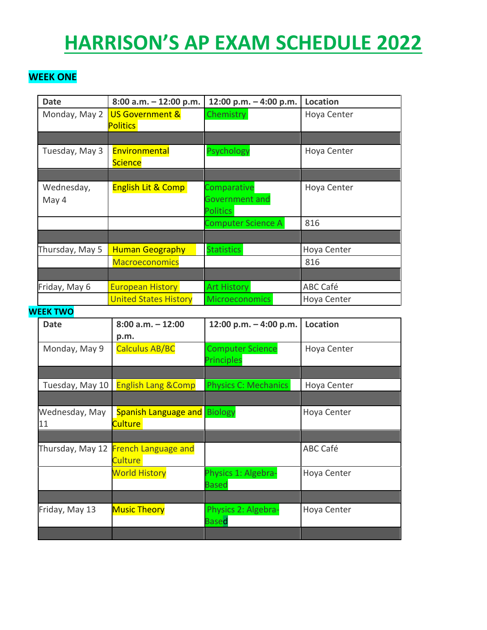# **HARRISON'S AP EXAM SCHEDULE 2022**

# **WEEK ONE**

| <b>Date</b>     | $8:00$ a.m. $-12:00$ p.m.     | 12:00 p.m. - 4:00 p.m.    | <b>Location</b> |
|-----------------|-------------------------------|---------------------------|-----------------|
| Monday, May 2   | <b>US Government &amp;</b>    | Chemistry                 | Hoya Center     |
|                 | <b>Politics</b>               |                           |                 |
|                 |                               |                           |                 |
| Tuesday, May 3  | Environmental                 | Psychology                | Hoya Center     |
|                 | <b>Science</b>                |                           |                 |
|                 |                               |                           |                 |
| Wednesday,      | <b>English Lit &amp; Comp</b> | Comparative               | Hoya Center     |
| May 4           |                               | Government and            |                 |
|                 |                               | <b>Politics</b>           |                 |
|                 |                               | <b>Computer Science A</b> | 816             |
|                 |                               |                           |                 |
| Thursday, May 5 | <b>Human Geography</b>        | <b>Statistics</b>         | Hoya Center     |
|                 | <b>Macroeconomics</b>         |                           | 816             |
|                 |                               |                           |                 |
| Friday, May 6   | <b>European History</b>       | <b>Art History</b>        | ABC Café        |
|                 | <b>United States History</b>  | <b>Microeconomics</b>     | Hoya Center     |

#### **WEEK TWO**

| <b>Date</b>      | $8:00$ a.m. $-12:00$           | 12:00 p.m. $-$ 4:00 p.m.    | <b>Location</b> |
|------------------|--------------------------------|-----------------------------|-----------------|
|                  | p.m.                           |                             |                 |
| Monday, May 9    | <b>Calculus AB/BC</b>          | <b>Computer Science</b>     | Hoya Center     |
|                  |                                | <b>Principles</b>           |                 |
|                  |                                |                             |                 |
| Tuesday, May 10  | <b>English Lang &amp; Comp</b> | <b>Physics C: Mechanics</b> | Hoya Center     |
|                  |                                |                             |                 |
| Wednesday, May   | <b>Spanish Language and</b>    | <b>Biology</b>              | Hoya Center     |
| 11               | Culture:                       |                             |                 |
|                  |                                |                             |                 |
| Thursday, May 12 | <b>French Language and</b>     |                             | ABC Café        |
|                  | Culture                        |                             |                 |
|                  | <b>World History</b>           | Physics 1: Algebra-         | Hoya Center     |
|                  |                                | <b>Based</b>                |                 |
|                  |                                |                             |                 |
| Friday, May 13   | <b>Music Theory</b>            | Physics 2: Algebra-         | Hoya Center     |
|                  |                                | <b>Based</b>                |                 |
|                  |                                |                             |                 |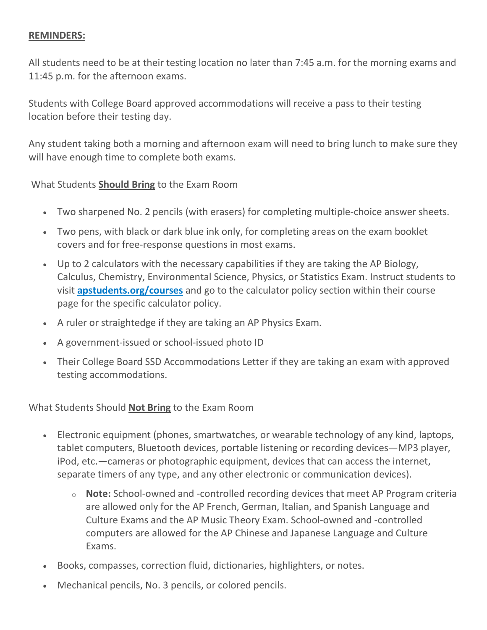### **REMINDERS:**

All students need to be at their testing location no later than 7:45 a.m. for the morning exams and 11:45 p.m. for the afternoon exams.

Students with College Board approved accommodations will receive a pass to their testing location before their testing day.

Any student taking both a morning and afternoon exam will need to bring lunch to make sure they will have enough time to complete both exams.

What Students **Should Bring** to the Exam Room

- Two sharpened No. 2 pencils (with erasers) for completing multiple-choice answer sheets.
- Two pens, with black or dark blue ink only, for completing areas on the exam booklet covers and for free-response questions in most exams.
- Up to 2 calculators with the necessary capabilities if they are taking the AP Biology, Calculus, Chemistry, Environmental Science, Physics, or Statistics Exam. Instruct students to visit **[apstudents.org/courses](http://url503.cobbk12.org/ls/click?upn=QnVQymdXNhN9mB1Yo7ti6HzWEgkJB76rPptPQeZ-2F4QqAA0eV4rm2ei8Tnp3FmH4EhTfKL9rZQnkzQVb4zmcIdA-3D-3Dbdse_W-2BfLYUoUwwI1tuGClKRhhPOSepcZIFoXnUIMjiA717kQ1i13BNQTwwJ9cl-2BWArXr6-2FDxoCbNFrRaplJKtN7fZ8-2FYatcHKGqAwwwvGM9nASH8dIzziuWWcjYw7Yt94mI44T7euba699gVmFOAmoT9iGy-2F5j7aFau1cBZwTZxUSmH3tKFnX55HpzFk2nWcH-2BnJpX82xA7uY8Soc8DW5j5xraNNhdto-2B7T-2B3pOooIhjHsnGK9TrSt8kVKfPR9EH6d7-2F9BfRSJ-2FFQtrqr4VoQw2fnw-3D-3D)** and go to the calculator policy section within their course page for the specific calculator policy.
- A ruler or straightedge if they are taking an AP Physics Exam.
- A government-issued or school-issued photo ID
- Their College Board SSD Accommodations Letter if they are taking an exam with approved testing accommodations.

What Students Should **Not Bring** to the Exam Room

- Electronic equipment (phones, smartwatches, or wearable technology of any kind, laptops, tablet computers, Bluetooth devices, portable listening or recording devices—MP3 player, iPod, etc.—cameras or photographic equipment, devices that can access the internet, separate timers of any type, and any other electronic or communication devices).
	- o **Note:** School-owned and -controlled recording devices that meet AP Program criteria are allowed only for the AP French, German, Italian, and Spanish Language and Culture Exams and the AP Music Theory Exam. School-owned and -controlled computers are allowed for the AP Chinese and Japanese Language and Culture Exams.
- Books, compasses, correction fluid, dictionaries, highlighters, or notes.
- Mechanical pencils, No. 3 pencils, or colored pencils.